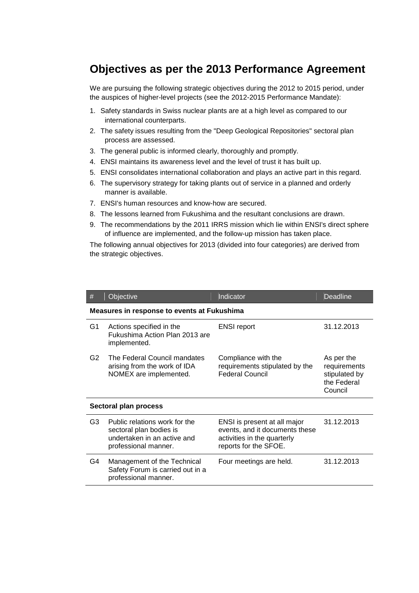## **Objectives as per the 2013 Performance Agreement**

We are pursuing the following strategic objectives during the 2012 to 2015 period, under the auspices of higher-level projects (see the 2012-2015 Performance Mandate):

- 1. Safety standards in Swiss nuclear plants are at a high level as compared to our international counterparts.
- 2. The safety issues resulting from the "Deep Geological Repositories" sectoral plan process are assessed.
- 3. The general public is informed clearly, thoroughly and promptly.
- 4. ENSI maintains its awareness level and the level of trust it has built up.
- 5. ENSI consolidates international collaboration and plays an active part in this regard.
- 6. The supervisory strategy for taking plants out of service in a planned and orderly manner is available.
- 7. ENSI's human resources and know-how are secured.
- 8. The lessons learned from Fukushima and the resultant conclusions are drawn.
- 9. The recommendations by the 2011 IRRS mission which lie within ENSI's direct sphere of influence are implemented, and the follow-up mission has taken place.

The following annual objectives for 2013 (divided into four categories) are derived from the strategic objectives.

| #                                                  | Objective                                                                                                       | Indicator                                                                                                              | <b>Deadline</b>                                                       |  |  |
|----------------------------------------------------|-----------------------------------------------------------------------------------------------------------------|------------------------------------------------------------------------------------------------------------------------|-----------------------------------------------------------------------|--|--|
| <b>Measures in response to events at Fukushima</b> |                                                                                                                 |                                                                                                                        |                                                                       |  |  |
| G1                                                 | Actions specified in the<br>Fukushima Action Plan 2013 are<br>implemented.                                      | <b>ENSI report</b>                                                                                                     | 31.12.2013                                                            |  |  |
| G2                                                 | The Federal Council mandates<br>arising from the work of IDA<br>NOMEX are implemented.                          | Compliance with the<br>requirements stipulated by the<br><b>Federal Council</b>                                        | As per the<br>requirements<br>stipulated by<br>the Federal<br>Council |  |  |
| Sectoral plan process                              |                                                                                                                 |                                                                                                                        |                                                                       |  |  |
| G <sub>3</sub>                                     | Public relations work for the<br>sectoral plan bodies is<br>undertaken in an active and<br>professional manner. | ENSI is present at all major<br>events, and it documents these<br>activities in the quarterly<br>reports for the SFOE. | 31.12.2013                                                            |  |  |
| G4                                                 | Management of the Technical<br>Safety Forum is carried out in a<br>professional manner.                         | Four meetings are held.                                                                                                | 31.12.2013                                                            |  |  |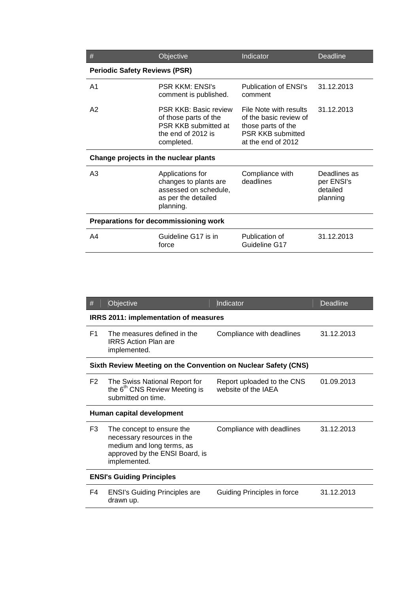| #                                     | Objective                                                                                                         | Indicator                                                                                                                | <b>Deadline</b>                                    |  |  |  |
|---------------------------------------|-------------------------------------------------------------------------------------------------------------------|--------------------------------------------------------------------------------------------------------------------------|----------------------------------------------------|--|--|--|
| <b>Periodic Safety Reviews (PSR)</b>  |                                                                                                                   |                                                                                                                          |                                                    |  |  |  |
| A <sub>1</sub>                        | <b>PSR KKM: ENSI's</b><br>comment is published.                                                                   | Publication of ENSI's<br>comment                                                                                         | 31.12.2013                                         |  |  |  |
| A2                                    | <b>PSR KKB: Basic review</b><br>of those parts of the<br>PSR KKB submitted at<br>the end of 2012 is<br>completed. | File Note with results<br>of the basic review of<br>those parts of the<br><b>PSR KKB submitted</b><br>at the end of 2012 | 31.12.2013                                         |  |  |  |
| Change projects in the nuclear plants |                                                                                                                   |                                                                                                                          |                                                    |  |  |  |
| A3                                    | Applications for<br>changes to plants are<br>assessed on schedule,<br>as per the detailed<br>planning.            | Compliance with<br>deadlines                                                                                             | Deadlines as<br>per ENSI's<br>detailed<br>planning |  |  |  |
| Preparations for decommissioning work |                                                                                                                   |                                                                                                                          |                                                    |  |  |  |
| A4                                    | Guideline G17 is in<br>force                                                                                      | Publication of<br>Guideline G17                                                                                          | 31.12.2013                                         |  |  |  |

| #                                                              | Objective                                                                                                                              | Indicator                                         | Deadline   |  |  |
|----------------------------------------------------------------|----------------------------------------------------------------------------------------------------------------------------------------|---------------------------------------------------|------------|--|--|
| <b>IRRS 2011: implementation of measures</b>                   |                                                                                                                                        |                                                   |            |  |  |
| F <sub>1</sub>                                                 | The measures defined in the<br><b>IRRS Action Plan are</b><br>implemented.                                                             | Compliance with deadlines                         | 31.12.2013 |  |  |
| Sixth Review Meeting on the Convention on Nuclear Safety (CNS) |                                                                                                                                        |                                                   |            |  |  |
| F <sub>2</sub>                                                 | The Swiss National Report for<br>the 6 <sup>th</sup> CNS Review Meeting is<br>submitted on time.                                       | Report uploaded to the CNS<br>website of the IAEA | 01.09.2013 |  |  |
| Human capital development                                      |                                                                                                                                        |                                                   |            |  |  |
| F <sub>3</sub>                                                 | The concept to ensure the<br>necessary resources in the<br>medium and long terms, as<br>approved by the ENSI Board, is<br>implemented. | Compliance with deadlines                         | 31.12.2013 |  |  |
| <b>ENSI's Guiding Principles</b>                               |                                                                                                                                        |                                                   |            |  |  |
| F4                                                             | <b>ENSI's Guiding Principles are</b><br>drawn up.                                                                                      | Guiding Principles in force                       | 31.12.2013 |  |  |